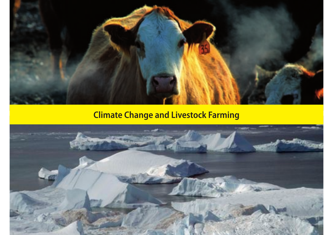

**Climate Change and Livestock Farming**

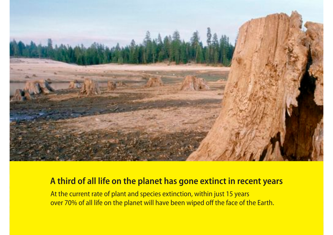

### **A third of all life on the planet has gone extinct in recent years**

At the current rate of plant and species extinction, within just 15 years over 70% of all life on the planet will have been wiped off the face of the Earth.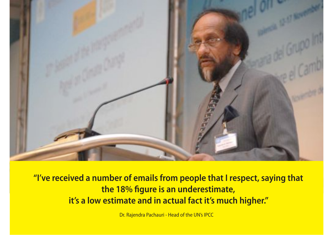

**"I've received a number of emails from people that I respect, saying that the 18% figure is an underestimate, it's a low estimate and in actual fact it's much higher.''**

Dr. Rajendra Pachauri - Head of the UN's IPCC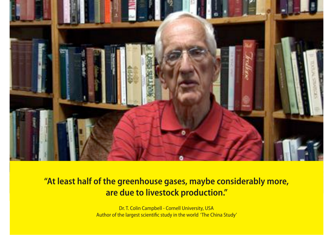

# **"At least half of the greenhouse gases, maybe considerably more, are due to livestock production."**

Dr. T. Colin Campbell - Cornell University, USA Author of the largest scientific study in the world 'The China Study'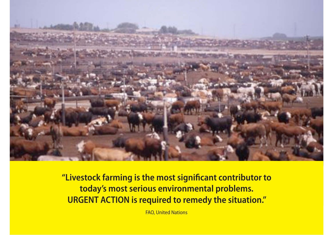

**"Livestock farming is the most significant contributor to today's most serious environmental problems. URGENT ACTION is required to remedy the situation."**

FAO, United Nations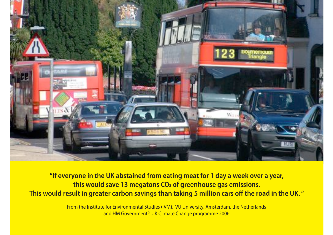

**"If everyone in the UK abstained from eating meat for 1 day a week over a year, this would save 13 megatons CO**2 **of greenhouse gas emissions. This would result in greater carbon savings than taking 5 million cars off the road in the UK. "**

> From the Institute for Environmental Studies (IVM), VU University, Amsterdam, the Netherlands and HM Government's UK Climate Change programme 2006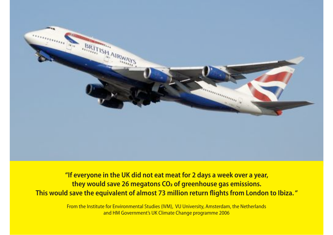

**"If everyone in the UK did not eat meat for 2 days a week over a year, they would save 26 megatons CO**2 **of greenhouse gas emissions. This would save the equivalent of almost 73 million return flights from London to Ibiza. "**

> From the Institute for Environmental Studies (IVM), VU University, Amsterdam, the Netherlands and HM Government's UK Climate Change programme 2006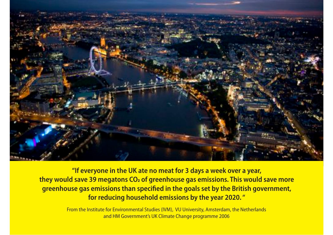

**"If everyone in the UK ate no meat for 3 days a week over a year, they would save 39 megatons CO**2 **of greenhouse gas emissions. This would save more greenhouse gas emissions than specified in the goals set by the British government, for reducing household emissions by the year 2020. "**

> From the Institute for Environmental Studies (IVM), VU University, Amsterdam, the Netherlands and HM Government's UK Climate Change programme 2006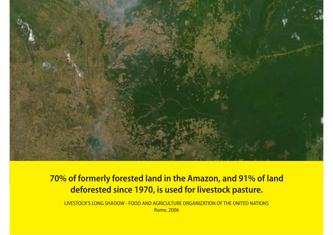

## **70% of formerly forested land in the Amazon, and 91% of land deforested since 1970, is used for livestock pasture.**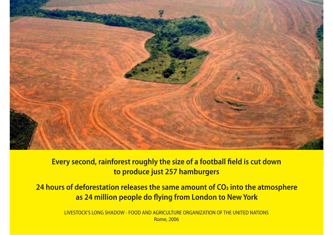

#### **Every second, rainforest roughly the size of a football field is cut down to produce just 257 hamburgers**

**24 hours of deforestation releases the same amount of CO**2 **into the atmosphere as 24 million people do flying from London to New York**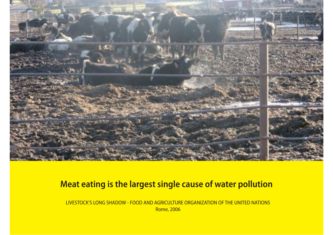

### **Meat eating is the largest single cause of water pollution**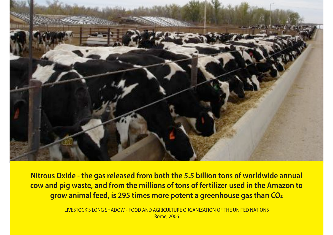

**Nitrous Oxide - the gas released from both the 5.5 billion tons of worldwide annual cow and pig waste, and from the millions of tons of fertilizer used in the Amazon to grow animal feed, is 295 times more potent a greenhouse gas than CO**2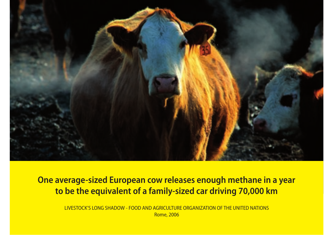

**One average-sized European cow releases enough methane in a year to be the equivalent of a family-sized car driving 70,000 km**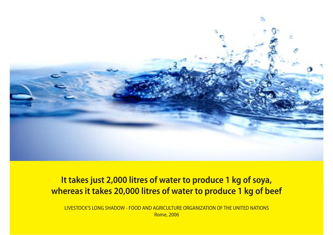

## **It takes just 2,000 litres of water to produce 1 kg of soya, whereas it takes 20,000 litres of water to produce 1 kg of beef**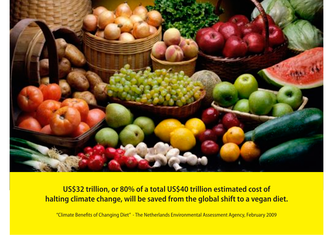

### **US\$32 trillion, or 80% of a total US\$40 trillion estimated cost of halting climate change, will be saved from the global shift to a vegan diet.**

"Climate Benefits of Changing Diet" - The Netherlands Environmental Assessment Agency, February 2009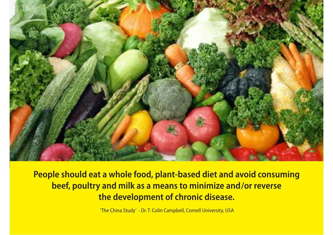

**People should eat a whole food, plant-based diet and avoid consuming beef, poultry and milk as a means to minimize and/or reverse the development of chronic disease.**

'The China Study' - Dr. T. Colin Campbell, Cornell University, USA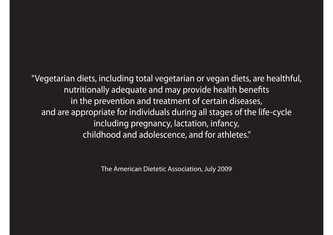"Vegetarian diets, including total vegetarian or vegan diets, are healthful, nutritionally adequate and may provide health benefits in the prevention and treatment of certain diseases, and are appropriate for individuals during all stages of the life-cycle including pregnancy, lactation, infancy, childhood and adolescence, and for athletes."

The American Dietetic Association, July 2009